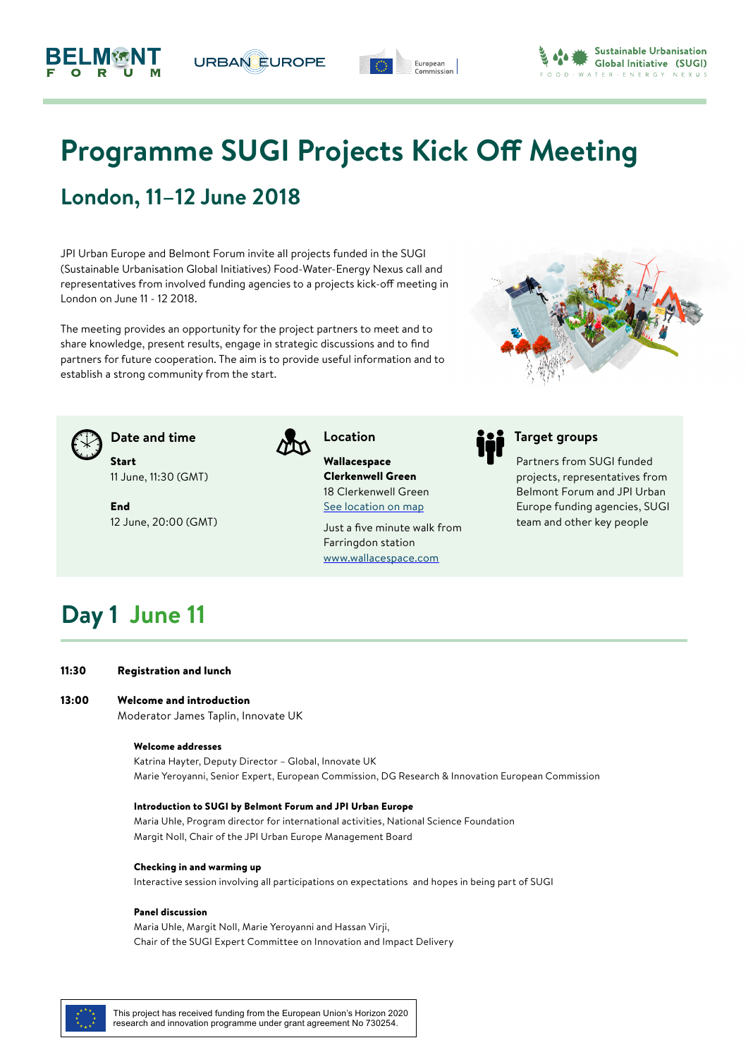# **Programme SUGI Projects Kick Off Meeting**

European

## **London, 11–12 June 2018**

JPI Urban Europe and Belmont Forum invite all projects funded in the SUGI (Sustainable Urbanisation Global Initiatives) Food-Water-Energy Nexus call and representatives from involved funding agencies to a projects kick-off meeting in London on June 11 - 12 2018.

**URBAN EUROPE** 

The meeting provides an opportunity for the project partners to meet and to share knowledge, present results, engage in strategic discussions and to find partners for future cooperation. The aim is to provide useful information and to establish a strong community from the start.



Start 11 June, 11:30 (GMT)

End 12 June, 20:00 (GMT)



Wallacespace Clerkenwell Green 18 Clerkenwell Green [See location on map](https://goo.gl/maps/SUtw1uPs89y)

Just a five minute walk from Farringdon station [www.wallacespace.com](http://www.wallacespace.com/clerkenwellgreen/)



Partners from SUGI funded projects, representatives from Belmont Forum and JPI Urban Europe funding agencies, SUGI team and other key people

## **Day 1 June 11**

11:30 Registration and lunch

#### 13:00 Welcome and introduction

Moderator James Taplin, Innovate UK

## Welcome addresses

Katrina Hayter, Deputy Director – Global, Innovate UK Marie Yeroyanni, Senior Expert, European Commission, DG Research & Innovation European Commission

## Introduction to SUGI by Belmont Forum and JPI Urban Europe

Maria Uhle, Program director for international activities, National Science Foundation Margit Noll, Chair of the JPI Urban Europe Management Board

### Checking in and warming up

Interactive session involving all participations on expectations and hopes in being part of SUGI

## Panel discussion

Maria Uhle, Margit Noll, Marie Yeroyanni and Hassan Virji, Chair of the SUGI Expert Committee on Innovation and Impact Delivery





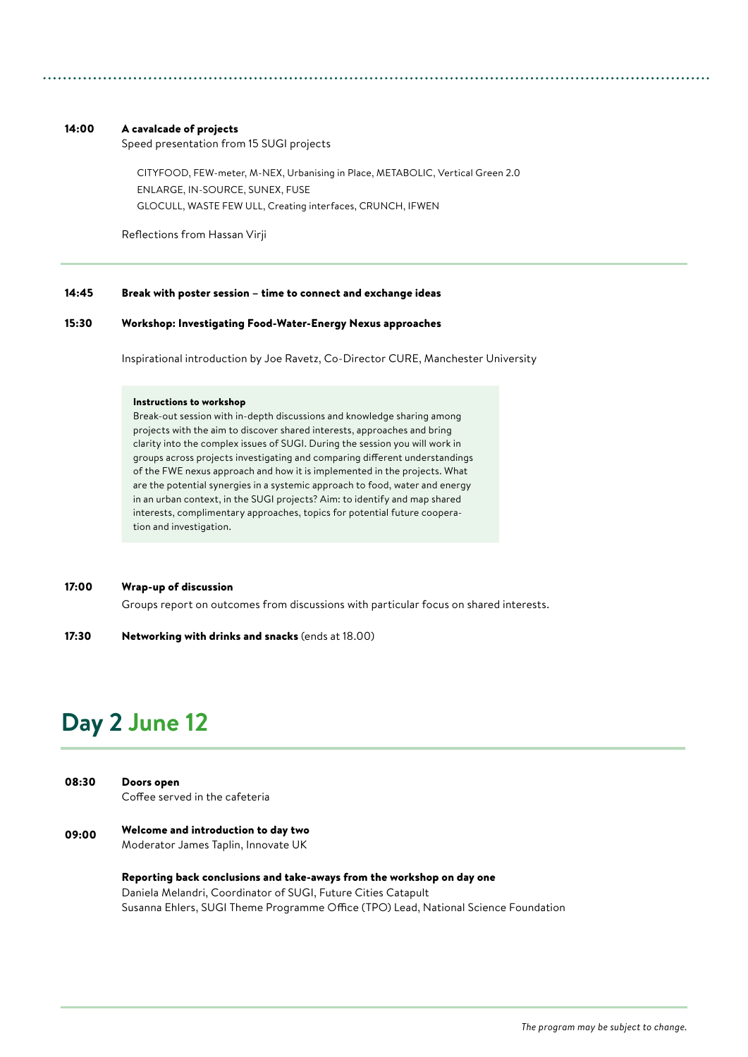## 14:00 A cavalcade of projects

Speed presentation from 15 SUGI projects

CITYFOOD, FEW-meter, M-NEX, Urbanising in Place, METABOLIC, Vertical Green 2.0 ENLARGE, IN-SOURCE, SUNEX, FUSE GLOCULL, WASTE FEW ULL, Creating interfaces, CRUNCH, IFWEN

Reflections from Hassan Virji

#### Break with poster session – time to connect and exchange ideas 14:45

#### Workshop: Investigating Food-Water-Energy Nexus approaches 15:30

Inspirational introduction by Joe Ravetz, Co-Director CURE, Manchester University

### Instructions to workshop

Break-out session with in-depth discussions and knowledge sharing among projects with the aim to discover shared interests, approaches and bring clarity into the complex issues of SUGI. During the session you will work in groups across projects investigating and comparing different understandings of the FWE nexus approach and how it is implemented in the projects. What are the potential synergies in a systemic approach to food, water and energy in an urban context, in the SUGI projects? Aim: to identify and map shared interests, complimentary approaches, topics for potential future cooperation and investigation.

#### Wrap-up of discussion 17:00

Groups report on outcomes from discussions with particular focus on shared interests.

Networking with drinks and snacks (ends at 18.00) 17:30

## **Day 2 June 12**

| 08:30 | Doors open                     |
|-------|--------------------------------|
|       | Coffee served in the cafeteria |

09:00 Welcome and introduction to day two Moderator James Taplin, Innovate UK

> Reporting back conclusions and take-aways from the workshop on day one Daniela Melandri, Coordinator of SUGI, Future Cities Catapult Susanna Ehlers, SUGI Theme Programme Office (TPO) Lead, National Science Foundation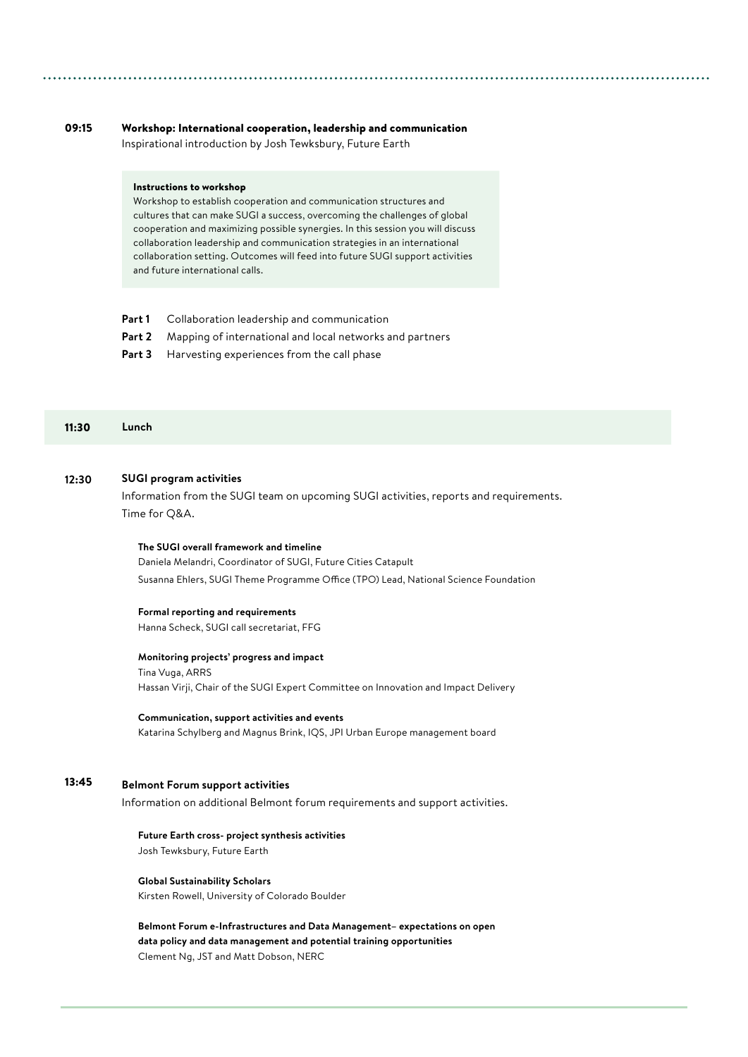#### Workshop: International cooperation, leadership and communication Inspirational introduction by Josh Tewksbury, Future Earth 09:15

## Instructions to workshop

Workshop to establish cooperation and communication structures and cultures that can make SUGI a success, overcoming the challenges of global cooperation and maximizing possible synergies. In this session you will discuss collaboration leadership and communication strategies in an international collaboration setting. Outcomes will feed into future SUGI support activities and future international calls.

- **Part 1** Collaboration leadership and communication
- **Part 2** Mapping of international and local networks and partners
- Part 3 Harvesting experiences from the call phase

#### 11:30 **Lunch**

#### **SUGI program activities 12**:**30**

Information from the SUGI team on upcoming SUGI activities, reports and requirements. Time for Q&A.

### **The SUGI overall framework and timeline**

Daniela Melandri, Coordinator of SUGI, Future Cities Catapult Susanna Ehlers, SUGI Theme Programme Office (TPO) Lead, National Science Foundation

### **Formal reporting and requirements**

Hanna Scheck, SUGI call secretariat, FFG

### **Monitoring projects' progress and impact**

Tina Vuga, ARRS Hassan Virji, Chair of the SUGI Expert Committee on Innovation and Impact Delivery

#### **Communication, support activities and events**

Katarina Schylberg and Magnus Brink, IQS, JPI Urban Europe management board

#### **Belmont Forum support activities** 13:45

Information on additional Belmont forum requirements and support activities.

## **Future Earth cross- project synthesis activities**

Josh Tewksbury, Future Earth

## **Global Sustainability Scholars**

Kirsten Rowell, University of Colorado Boulder

**Belmont Forum e-Infrastructures and Data Management– expectations on open data policy and data management and potential training opportunities** Clement Ng, JST and Matt Dobson, NERC